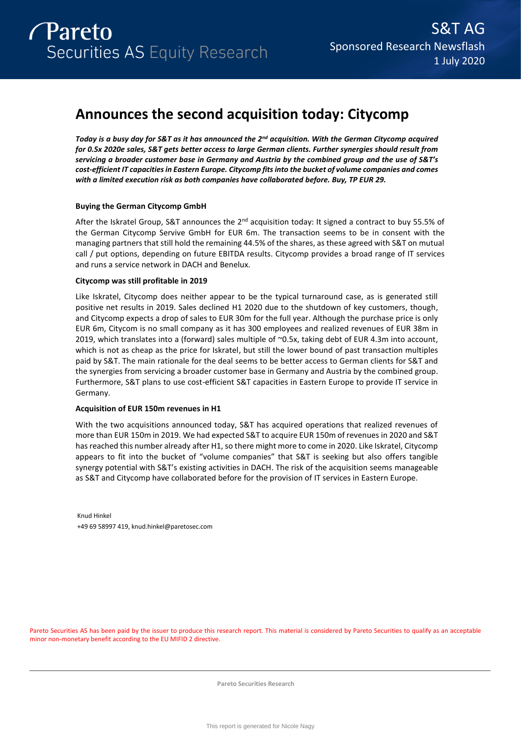# **Announces the second acquisition today: Citycomp**

*Today is a busy day for S&T as it has announced the 2nd acquisition. With the German Citycomp acquired for 0.5x 2020e sales, S&T gets better access to large German clients. Further synergies should result from servicing a broader customer base in Germany and Austria by the combined group and the use of S&T's cost-efficient IT capacities in Eastern Europe. Citycomp fits into the bucket of volume companies and comes with a limited execution risk as both companies have collaborated before. Buy, TP EUR 29.* 

# **Buying the German Citycomp GmbH**

After the Iskratel Group, S&T announces the  $2^{nd}$  acquisition today: It signed a contract to buy 55.5% of the German Citycomp Servive GmbH for EUR 6m. The transaction seems to be in consent with the managing partners that still hold the remaining 44.5% of the shares, as these agreed with S&T on mutual call / put options, depending on future EBITDA results. Citycomp provides a broad range of IT services and runs a service network in DACH and Benelux.

# **Citycomp was still profitable in 2019**

Like Iskratel, Citycomp does neither appear to be the typical turnaround case, as is generated still positive net results in 2019. Sales declined H1 2020 due to the shutdown of key customers, though, and Citycomp expects a drop of sales to EUR 30m for the full year. Although the purchase price is only EUR 6m, Citycom is no small company as it has 300 employees and realized revenues of EUR 38m in 2019, which translates into a (forward) sales multiple of ~0.5x, taking debt of EUR 4.3m into account, which is not as cheap as the price for Iskratel, but still the lower bound of past transaction multiples paid by S&T. The main rationale for the deal seems to be better access to German clients for S&T and the synergies from servicing a broader customer base in Germany and Austria by the combined group. Furthermore, S&T plans to use cost-efficient S&T capacities in Eastern Europe to provide IT service in Germany.

# **Acquisition of EUR 150m revenues in H1**

With the two acquisitions announced today, S&T has acquired operations that realized revenues of more than EUR 150m in 2019. We had expected S&T to acquire EUR 150m of revenues in 2020 and S&T has reached this number already after H1, so there might more to come in 2020. Like Iskratel, Citycomp appears to fit into the bucket of "volume companies" that S&T is seeking but also offers tangible synergy potential with S&T's existing activities in DACH. The risk of the acquisition seems manageable as S&T and Citycomp have collaborated before for the provision of IT services in Eastern Europe.

Knud Hinkel +49 69 58997 419, knud.hinkel@paretosec.com

Pareto Securities AS has been paid by the issuer to produce this research report. This material is considered by Pareto Securities to qualify as an acceptable minor non-monetary benefit according to the EU MIFID 2 directive.

**Pareto Securities Research**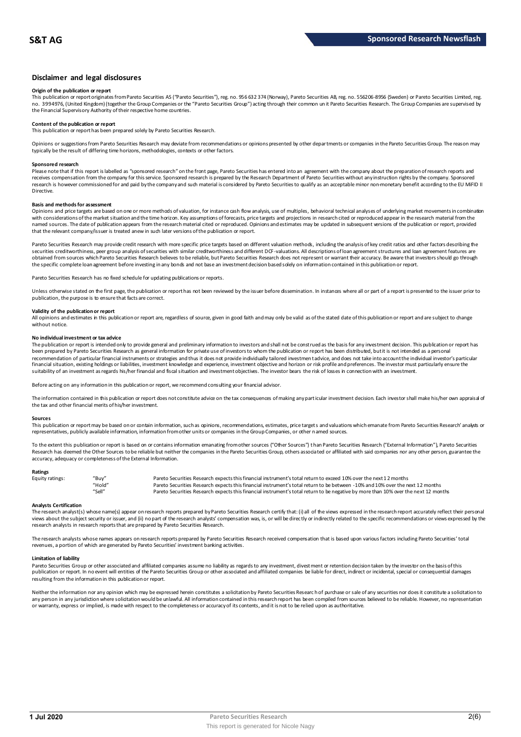# **Disclaimer and legal disclosures**

### **Origin of the publication or report**

This publication or report originates from Pareto Securities AS ("Pareto Securities"), reg. no. 956 632 374 (Norway), Pareto Securities AB, reg. no. 556206-8956 (Sweden) or Pareto Securities Limited, reg. no. 3994976, (United Kingdom) (together the Group Companies or the "Pareto Securities Group") acting through their common un it Pareto Securities Research. The Group Companies are supervised by<br>the Financial Supervisory Au

# **Content of the publication or report**

This publication or report has been prepared solely by Pareto Securities Research.

Opinions or suggestions from Pareto Securities Research may deviate from recommendations or opinions presented by other departments or companies in the Pareto Securities Group. The reason may typically be the result of differing time horizons, methodologies, contexts or other factors.

#### **Sponsored research**

Please note that if this report is labelled as "sponsored research" on the front page, Pareto Securities has entered into an agreement with the company about the preparation of research reports and<br>receives compensation fr research is however commissioned for and paid by the company and such material is considered by Pareto Securities to qualify as an acceptable minor non-monetary benefit according to the EU MiFID II Directive.

#### **Basis and methods for assessment**

Opinions and price targets are based on one or more methods of valuation, for instance cash flow analysis, use of multiples, behavioral technical analyses of underlying market movements in combination with considerations of the market situation and the time horizon. Key assumptions of forecasts, price targets and projections in research cited or reproduced appear in the research material from the named sources. The date of publication appears from the research material cited or reproduced. Opinions and estimates may be updated in subsequent versions of the publication or report, provided that the relevant company/issuer is treated anew in such later versions of the publication or report.

Pareto Securities Research may provide credit research with more specific price targets based on different valuation methods, including the analysis of key credit ratios and other factors describing the securities creditworthiness, peer group analysis of securities with similar creditworthiness and different DCF-valuations. All descriptions of loan agreement structures and loan agreement features are obtained from sources which Pareto Securities Research believes to be reliable, but Pareto Securities Research does not represent or warrant their accuracy. Be aware that investors should go through the specific complete loan agreement before investing in any bonds and not base an investment decision based solely on information contained in this publication or report.

Pareto Securities Research has no fixed schedule for updating publications or reports.

Unless otherwise stated on the first page, the publication or report has not been reviewed by the issuer before dissemination. In instances where all or part of a report is presented to the issuer prior to publication, the purpose is to ensure that facts are correct.

# **Validity of the publication or report**

All opinions and estimates in this publication or report are, regardless of source, given in good faith and may only be valid as of the stated date of this publication or report and are subject to change without notice

#### **No individual investment or tax advice**

The publication or report is intended only to provide general and preliminary information to investors and shall not be construed as the basis for any investment decision. This publication or report has<br>been prepared by Pa recommendation of particular financial instruments or strategies and thus it does not provide individually tailored investmen t advice, and does not take into account the individual investor's particular financial situation, existing holdings or liabilities, investment knowledge and experience, investment objective and horizon or risk profile and preferences. The investor must particularly ensure the suitability of an investment as regards his/her financial and fiscal situation and investment objectives. The investor bears the risk of losses in connection with an investment.

Before acting on any information in this publication or report, we recommend consulting your financial advisor.

The information contained in this publication or report does not constitute advice on the tax consequences of making any particular investment decision. Each investor shall make his/her own appraisal of the tax and other financial merits of his/her investment.

#### **Sources**

This publication or report may be based on or contain information, such as opinions, recommendations, estimates, price targets and valuations which emanate from Pareto Securities Research' analysts or representatives, publicly available information, information from other units or companies in the Group Companies, or other named sources.

To the extent this publication or report is based on or contains information emanating from other sources ("Other Sources") than Pareto Securities Research ("External Information"), Pareto Securities Research has deemed the Other Sources to be reliable but neither the companies in the Pareto Securities Group, others associated or affiliated with said companies nor any other person, guarantee the accuracy, adequacy or completeness of the External Information.

#### **Ratings**

| Equity ratings: | "Buv"  | Pareto Securities Research expects this financial instrument's total return to exceed 10% over the next 12 months                   |
|-----------------|--------|-------------------------------------------------------------------------------------------------------------------------------------|
|                 | "Hold" | Pareto Securities Research expects this financial instrument's total return to be between -10% and 10% over the next 12 months      |
|                 | "Sell" | Pareto Securities Research expects this financial instrument's total return to be negative by more than 10% over the next 12 months |

**Analysts Certification**<br>The research analystis) whose name(s) appear on research reports prepared by Pareto Securities Research certify that: (i) all of the views expressed in the research report accurately reflect their "Hold"<br>Pareto Securities Research expects this financial instrument's total return to be between -10% and 10% over the next 12 months<br>Analysts Certification<br>The research analyst(s) whose name(s) appear on research reports research analysts in research reports that are prepared by Pareto Securities Research.

The research analysts whose names appears on research reports prepared by Pareto Securities Research received compensation that is based upon various factors including Pareto Securities' total revenues, a portion of which are generated by Pareto Securities' investment banking activities.

#### **Limitation of liability**

Pareto Securities Group or other associated and affiliated companies assume no liability as regards to any investment, divest ment or retention decision taken by the investor on the basis of this publication or report. In no event will entities of the Pareto Securities Group or other associated and affiliated companies be liable for direct, indirect or incidental, special or consequential damages resulting from the information in this publication or report.

Neither the information nor any opinion which may be expressed herein constitutes a solicitation by Pareto Securities Research of purchase or sale of any securities nor does it constitute a solicitation to any person in any jurisdiction where solicitation would be unlawful. All information contained in this research report has been compiled from sources believed to be reliable. However, no representation or warranty, express or implied, is made with respect to the completeness or accuracy of its contents, and it is not to be relied upon as authoritative.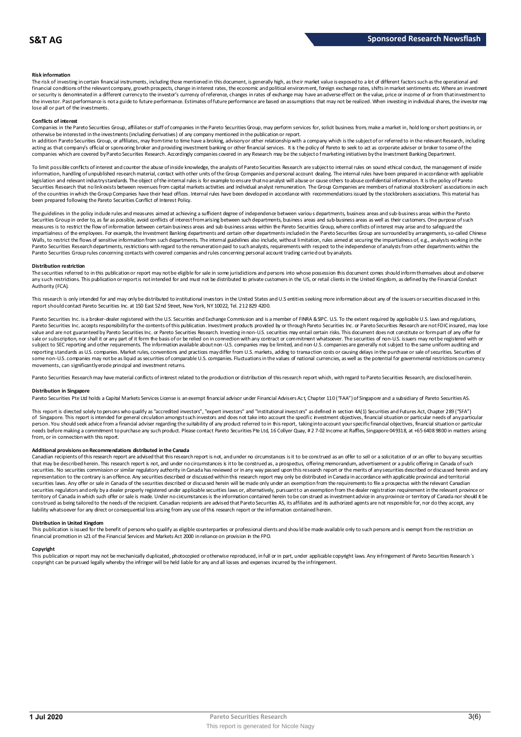### **Risk information**

The risk of investing in certain financial instruments, including those mentioned in this document, is generally high, as their market value is exposed to a lot of different factors such as the operational and financial conditions of the relevant company, growth prospects, change in interest rates, the economic and political environment, foreign exchange rates, shifts in market sentiments etc. Where an investment or security is denominated in a different currency to the investor's currency of reference, changes in rates of exchange may have an adverse effect on the value, price or income of or from that investment to the investor. Past performance is not a guide to future performance. Estimates of future performance are based on assumptions that may not be realized. When investing in individual shares, the investor may lose all or part of the investments.

#### **Conflicts of interest**

Companies in the Pareto Securities Group, affiliates or staff of companies in the Pareto Securities Group, may perform services for, solicit business from, make a market in, hold long or short positions in, or otherwise be interested in the investments (including derivatives) of any company mentioned in the publication or report.<br>In addition Pareto Securities Group, or affiliates, may from time to time have a broking, advisory o

acting as that company's official or sponsoring broker and providing investment banking or other financial services. It is the policy of Pareto to seek to act as corporate adviser or broker to some of the companies which are covered by Pareto Securities Research. Accordingly companies covered in any Research may be the subject o f marketing initiatives by the Investment Banking Department.

To limit possible conflicts of interest and counter the abuse of inside knowledge, the analysts of Pareto Securities Research are subject to internal rules on sound ethical conduct, the management of inside information, handling of unpublished research material, contact with other units of the Group Companies and personal account dealing. The internal rules have been prepared in accordance with applicable legislation and relevant industry standards. The object of the internal rules is for example to ensure that no analyst will abuse or cause others to abuse confidential information. It is the policy of Pareto Securities Research that no link exists between revenues from capital markets activities and individual analyst remuneration. The Group Companies are members of national stockbrokers' associations in each of the countries in which the Group Companies have their head offices. Internal rules have been developed in accordance with recommendations issued by the stockbrokers associations. This material has been prepared following the Pareto Securities Conflict of Interest Policy.

The guidelines in the policy indude rules and measures aimed at achieving a sufficient degree of independence between various departments, business areas and sub-business areas within the Pareto Securities Group in order to, as far as possible, avoid conflicts of interest from arising between such departments, business areas and sub-business areas as well as their customers. One purpose of such measures is to restrict the flow of information between certain business areas and sub-business areas within the Pareto Securities Group, where conflicts of interest may arise and to safeguard the inpartialness of the empl The guidelines in the policy indude rules and measures aimed at achieving a sufficient degree of independence between various departments, business areas and sub-business areas within the Pareto<br>Securities Group in order t Pareto Securities Group rules concerning contacts with covered companies and rules concerning personal account trading carried out by analysts.

#### **Distribution restriction**

The securities referred to in this publication or report may not be eligible for sale in some jurisdictions and persons into whose possession this document comes should inform themselves about and observe Pareto Securities Group rules concerning contacts with covered companies and rules concerning personal account trading carried out by analysts.<br>Distribution restriction<br>The securities referred to in this publication or rep Authority (FCA).

This research is only intended for and may only be distributed to institutional investors in the United States and U.S entities seeking more information about any of the issuers or securities discussed in this report should contact Pareto Securities Inc. at 150 East 52nd Street, New York, NY 10022, Tel. 212 829 4200.

Pareto Securities Inc. is a broker-dealer registered with the U.S. Securities and Exchange Commission and is a member of FINRA & SIPC. U.S. To the extent required by applicable U.S. laws and regulations, Pareto Securities Inc. accepts responsibilityfor the contents of this publication. Investment products provided by or through Pareto Securities Inc. or Pareto Securities Research are not FDIC insured, may lose<br>value and ar sale or subscription, nor shall it or any part of it form the basis of or be relied on in connection with any contract or commitment whatsoever. The securities of non-U.S. issuers may not be registered with or subject to SEC reporting and other requirements. The information available about non-U.S. companies may be limited, and non-U.S. companies are generally not subject to the same unifom auditing and<br>reporting standards as U some non-U.S. companies may not be as liquid as securities of comparable U.S. companies. Fluctuations in the values of national currencies, as well as the potential for governmental restrictions on currency movements, can significantly erode principal and investment returns.

Pareto Securities Research may have material conflicts of interest related to the production or distribution of this research report which, with regard to Pareto Securities Research, are disclosed herein.

#### **Distribution in Singapore**

Pareto Securities Pte Ltd holds a Capital Markets Services License is an exempt financial advisor under Financial Advisers Ac t, Chapter 110 ("FAA") of Singapore and a subsidiary of Pareto Securities AS.

This report is directed solely to persons who qualify as "accredited investors", "expert investors" and "institutional investors" as defined in section 4A(1) Securities and Futures Act, Chapter 289 ("SFA") **Distribution in Singapore**<br>Pareto Securities Pte Ltd holds a Capital Markets Services License is an exempt financial advisor under Financial Advisers Act, Chapter 110 ("FAA") of Singapore and a subsidiary of Pareto Securi person. You should seek advice from a financial adviser regarding the suitability of any product referred to in this report, taking into account your specific financial objectives, financial situation or particular needs before making a commitment to purchase any such product. Please contact Pareto Securities Pte Ltd, 16 Collyer Quay, # 2 7-02 Income at Raffles, Singapore 049318, at +65 6408 9800 in matters arising<br>from, or in connec needs before making a commitment to purchase any such product. Please contact Pareto Securities Pte Ltd, 16 Collyer Quay, # 2 7-02 Income at Raffles, Singapore 049318, at +65 6408 9800 in matters arisin<br>from, or in connect

#### **Additional provisions on Recommendations distributed in the Canada**

That may be described herein. This research report are advised that this research report is not, and under no circumstances is it to be construed as an offer to sell or a solicitation of or an offer to buy any securities<br>t securities. No securities commission or similar regulatory authority in Canada has reviewed or in any way passed upon this research report or the merits of any securities described or discussed herein and any representation to the contrary is an offence. Any securities described or discussed within this research report may only be distributed in Canada in accordance with applicable provincial and territorial securities laws. Any offer or sale in Canada of the securities described or discussed herein will be made only under an exemption from the requirements to file a prospectus with the relevant Canadian securities regulators and only bya dealer properly registered under applicable securities laws or, alternatively, pursuant to an exemption from the dealer registration requirement in the relevant province or<br>territory of C construed as being tailored to the needs of the recipient. Canadian recipients are advised that Pareto Securities AS, its affiliates and its authorized agents are not responsible for, nor do they accept, any liability whatsoever for any direct or consequential loss arising from any use of this research report or the information contained herein.

### **Distribution in United Kingdom**

financial promotion in s21 of the Financial Services and Markets Act 2000 in reliance on provision in the FPO.

This publication is issued for the benefit of persons who qualify as eligible counterparties or professional dients and should be made available only to such persons and is exempt from the restriction on<br>financial promotio **Copyright**<br>This publication or report may not be mechanically duplicated, photomoied or otherwise reproduced, in full or in part, under annlicable copyright laws. Any infringement of Pareto Sequities Research's copyright can be pursued legally whereby the infringer will be held liable for any and all losses and expenses incurred by the infringement.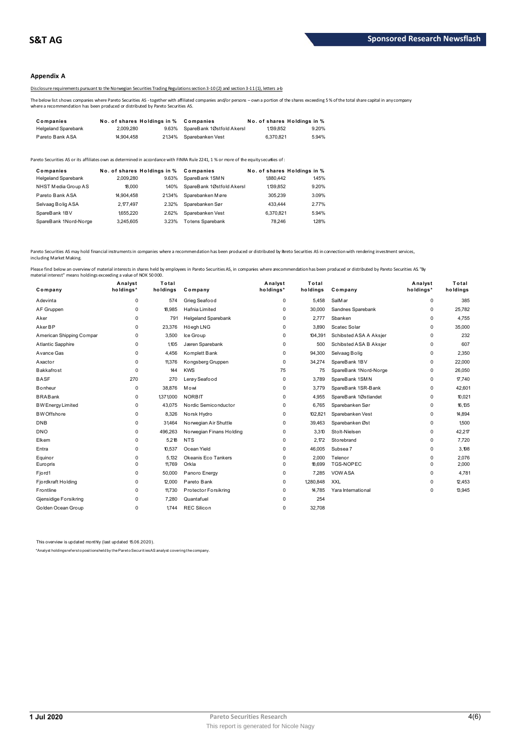# **Appendix A**

Disclosure requirements pursuant to the Norwegian Securities Trading Regulations section 3-10 (2) and section 3-11 (1), letters a-b

The below list shows companies where Pareto Securities AS - together with affiliated companies and/or persons – own a portion of the shares exceeding 5 % of the total share capital in any company<br>where a recommendation has

|                                                                                                                                                                                                                                           |                             |       | Disclosure requirements pursuant to the Norwegian Securities Trading Regulations section 3-10(2) and section 3-11(1), letters a-b |                             |       |  |
|-------------------------------------------------------------------------------------------------------------------------------------------------------------------------------------------------------------------------------------------|-----------------------------|-------|-----------------------------------------------------------------------------------------------------------------------------------|-----------------------------|-------|--|
| The below list shows companies where Pareto Securities AS - together with affiliated companies and/or persons - own a portion of the shares exceeding<br>where a recommendation has been produced or distributed by Pareto Securities AS. |                             |       |                                                                                                                                   |                             |       |  |
| Companies                                                                                                                                                                                                                                 | No. of shares Holdings in % |       | Companies                                                                                                                         | No. of shares Holdings in % |       |  |
| <b>Helgeland Sparebank</b>                                                                                                                                                                                                                | 2.009.280                   | 9.63% | SpareBank 1Østfold Akersl                                                                                                         | 1.139.852                   | 9.20% |  |
|                                                                                                                                                                                                                                           |                             |       |                                                                                                                                   |                             |       |  |

| <b>I GIULU DAIIN AUA</b>                | <b>H.JUT.TJU</b>                         |       | <u>2</u> WT/U ODDIGDOIINGIIVG3U                                                                                                       | <b>U.U.U.</b> U. | 3.5770                              |
|-----------------------------------------|------------------------------------------|-------|---------------------------------------------------------------------------------------------------------------------------------------|------------------|-------------------------------------|
|                                         |                                          |       | Pareto Securities AS or its affiliates own as determined in accordance with FINRA Rule 2241. 1 % or more of the equity securijes of : |                  |                                     |
| Companies<br><b>Helgeland Sparebank</b> | No. of shares Holdings in %<br>2.009.280 | 9.63% | Companies<br>SpareBank 1SMN                                                                                                           | 1880.442         | No. of shares Holdings in %<br>145% |
| NHST Media Group AS                     | 18.000                                   | 140%  | SpareBank 1Østfold Akersl                                                                                                             | 1.139.852        | 9.20%                               |
| Pareto Bank ASA                         | 14.904.458                               | 2134% | Sparebanken Møre                                                                                                                      | 305.239          | 3.09%                               |
| Selvaag Bolig ASA                       | 2.177.497                                | 2.32% | Sparebanken Sør                                                                                                                       | 433,444          | 2.77%                               |
| SpareBank 1BV                           | 1655.220                                 | 2.62% | Sparebanken Vest                                                                                                                      | 6.370.821        | 5.94%                               |
| SpareBank 1Nord-Norge                   | 3.245.605                                | 3.23% | <b>Totens Sparebank</b>                                                                                                               | 78.246           | 128%                                |
|                                         |                                          |       |                                                                                                                                       |                  |                                     |

Pareto Securities AS may hold financial instruments in companies where a recommendation has been produced or distributed by Pareto Securities AS in connection with rendering investment services,<br>including Market Making.

| Company                  | Analyst<br>holdings* | Total<br>holdings | Company                    | Analyst<br>holdings* | Total<br>holdings | Company                | Analyst<br>holdings* | Total<br>holdings |
|--------------------------|----------------------|-------------------|----------------------------|----------------------|-------------------|------------------------|----------------------|-------------------|
| Adevinta                 | 0                    | 574               | Grieg Seafood              | 0                    | 5.458             | SalM ar                | 0                    | 385               |
| AF Gruppen               | $\Omega$             | 18,985            | Hafnia Limited             | 0                    | 30,000            | Sandnes Sparebank      | 0                    | 25,782            |
| Aker                     | 0                    | 791               | <b>Helgeland Sparebank</b> | 0                    | 2.777             | Sbanken                | 0                    | 4,755             |
| Aker BP                  | 0                    | 23,376            | Höegh LNG                  | 0                    | 3.890             | Scatec Solar           | 0                    | 35,000            |
| American Shipping Compar | 0                    | 3.500             | Ice Group                  | 0                    | 104,391           | Schibsted ASA A Aksjer | 0                    | 232               |
| <b>Atlantic Sapphire</b> | $\Omega$             | 1.105             | Jæren Sparebank            | 0                    | 500               | Schibsted ASA B Aksjer | 0                    | 607               |
| Avance Gas               | 0                    | 4.456             | Komplett Bank              | 0                    | 94.300            | Selvaag Bolig          | 0                    | 2,350             |
| Axactor                  | $\Omega$             | 11,376            | Kongsberg Gruppen          | $\Omega$             | 34,274            | SpareBank 1BV          | 0                    | 22,000            |
| <b>Bakkafrost</b>        | $\Omega$             | 144               | <b>KWS</b>                 | 75                   | 75                | SpareBank 1Nord-Norge  | 0                    | 26,050            |
| <b>BASF</b>              | 270                  | 270               | Lerøy Seafood              | 0                    | 3,789             | SpareBank 1SMN         | 0                    | 17,740            |
| <b>Bonheur</b>           | 0                    | 38,876            | Mowi                       | 0                    | 3,779             | SpareBank 1SR-Bank     | 0                    | 42,601            |
| <b>BRABank</b>           | $\Omega$             | 1,371,000         | <b>NORBIT</b>              | $\Omega$             | 4,955             | SpareBank 1Østlandet   | 0                    | 10,021            |
| <b>BW Energy Limited</b> | 0                    | 43,075            | Nordic Semiconductor       | 0                    | 6,765             | Sparebanken Sør        | 0                    | 16,135            |
| <b>BW</b> Offshore       | 0                    | 8,326             | Norsk Hydro                | 0                    | 102,821           | Sparebanken Vest       | 0                    | 14,894            |
| <b>DNB</b>               | $\Omega$             | 31,464            | Norwegian Air Shuttle      | $\Omega$             | 39,463            | Sparebanken Øst        | 0                    | 1,500             |
| <b>DNO</b>               | $\Omega$             | 496,263           | Norwegian Finans Holding   | $\Omega$             | 3,310             | Stolt-Nielsen          | 0                    | 42,217            |
| Elkem                    | 0                    | 5,218             | <b>NTS</b>                 | 0                    | 2.172             | Storebrand             | 0                    | 7.720             |
| Entra                    | $\Omega$             | 10,537            | Ocean Yield                | 0                    | 46,005            | Subsea 7               | 0                    | 3,198             |
| Equinor                  | 0                    | 5.132             | Okeanis Eco Tankers        | 0                    | 2.000             | Telenor                | 0                    | 2,076             |
| <b>Europris</b>          | $\Omega$             | 11,769            | Orkla                      | $\Omega$             | 18,699            | <b>TGS-NOPEC</b>       | 0                    | 2,000             |
| Fjord1                   | 0                    | 50,000            | Panoro Energy              | 0                    | 7.285             | <b>VOW ASA</b>         | 0                    | 4.781             |
| Fjordkraft Holding       | 0                    | 12,000            | Pareto Bank                | 0                    | 1280,848          | <b>XXL</b>             | 0                    | 12.453            |
| Frontline                | 0                    | 11,730            | Protector Forsikring       | 0                    | 14,785            | Yara International     | 0                    | 13,945            |
| Gjensidige Forsikring    | $\Omega$             | 7.280             | Quantafuel                 | 0                    | 254               |                        |                      |                   |
| Golden Ocean Group       | $\Omega$             | 1.744             | <b>REC Silicon</b>         | $\Omega$             | 32,708            |                        |                      |                   |

This overview is updated monthly (last updated 15.06.2020).

\*Analyst holdings ref ers t o posit ions held by t he Paret o Securit ies AS analyst covering t he company.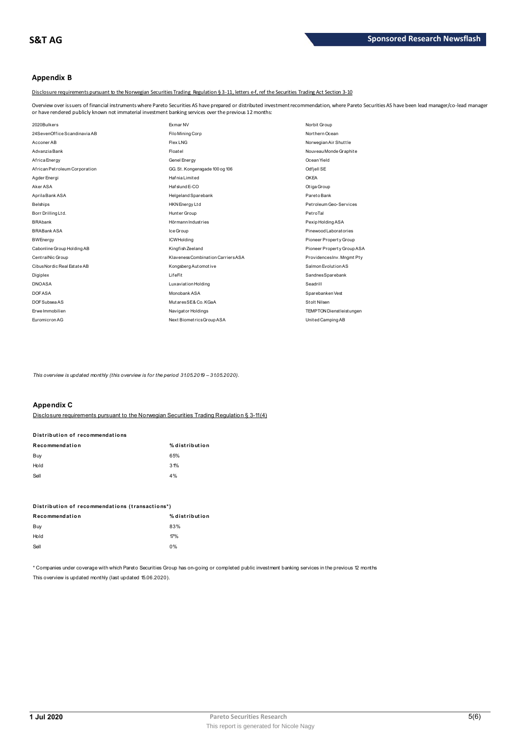# **Appendix B**

Disclosure requirements pursuant to the Norwegian Securities Trading Regulation § 3-11, letters e-f, ref the Securities Trading Act Section 3-10

Overview over issuers of financial instruments where Pareto Securities AS have prepared or distributed investment recommendation, where Pareto Securities AS have been lead manager/co-lead manager<br>or have rendered publicly

| or have rendered publicly known not immaterial investment banking services over the previous 12 months: |                                    |                                   |
|---------------------------------------------------------------------------------------------------------|------------------------------------|-----------------------------------|
| 2020Bulkers                                                                                             | Exmar NV                           | Norbit Group                      |
| 24 Seven Office Scandinavia AB                                                                          | Filo Mining Corp                   | Northern Ocean                    |
| Acconer AB                                                                                              | Flex LNG                           | Norwegian Air Shuttle             |
| Advanzia Bank                                                                                           | Floatel                            | Nouveau Monde Graphite            |
| Africa Energy                                                                                           | Genel Energy                       | Ocean Yield                       |
| African Petroleum Corporation                                                                           | GG. St. Kongensgade 100 og 106     | Odfjell SE                        |
| Agder Energi                                                                                            | HafniaLimited                      | <b>OKEA</b>                       |
| Aker ASA                                                                                                | Hafslund E-CO                      | Otiga Group                       |
| Aprila Bank ASA                                                                                         | Helgeland Sparebank                | ParetoBank                        |
| <b>Belships</b>                                                                                         | HKN Energy Ltd                     | Pet roleum Geo-Services           |
| Borr Drilling Ltd.                                                                                      | Hunter Group                       | PetroTal                          |
| <b>BRAbank</b>                                                                                          | Hörmann Industries                 | Pexip Holding ASA                 |
| <b>BRABank ASA</b>                                                                                      | Ice Group                          | Pinewood Laborat ories            |
| <b>BWEnergy</b>                                                                                         | <b>ICWHolding</b>                  | Pioneer Property Group            |
| Cabonline Group Holding AB                                                                              | Kingfish Zeeland                   | Pioneer Property Group ASA        |
| CentralNic Group                                                                                        | Klaveness Combination Carriers ASA | ProvidencesInv. Mngmt Pty         |
| Cibus Nordic Real Est at e AB                                                                           | Kongsberg Automotive               | Salmon Evolution AS               |
| Digiplex                                                                                                | LifeFit                            | SandnesSparebank                  |
| <b>DNOASA</b>                                                                                           | <b>Luxaviation Holding</b>         | Seadrill                          |
| <b>DOFASA</b>                                                                                           | Monobank ASA                       | Sparebanken Vest                  |
| DOF Subsea AS                                                                                           | MutaresSE& Co. KGaA                | Stolt Nilsen                      |
| Erwe Immobilien                                                                                         | Navigator Holdings                 | <b>TEMPTON Dienst leist ungen</b> |
| Euromicron AG                                                                                           | Next BiometricsGroup ASA           | United Camping AB                 |

This overview is updated monthly (this overview is for the period 31.05.2019 - 31.05.2020).

# **Appendix C**

| <b>APPULLAN</b>                 |                                                                                            |
|---------------------------------|--------------------------------------------------------------------------------------------|
|                                 | Disclosure requirements pursuant to the Norwegian Securities Trading Requisition § 3-11(4) |
| Distribution of recommendations |                                                                                            |
| Recommendation                  | % distribution                                                                             |
| Buy                             | 65%                                                                                        |
| Hold                            | 31%                                                                                        |
| Sell                            | 4%                                                                                         |
|                                 |                                                                                            |

| $\sim$                                          | $\mathbf{v}$   |
|-------------------------------------------------|----------------|
| Distribution of recommendations (transactions*) |                |
| Recommendation                                  | % distribution |
| Buy                                             | 83%            |
| Hold                                            | 17%            |
| Sell                                            | 0%             |
|                                                 |                |

\* Companies under coverage with which Pareto Securities Group has on-going or completed public investment banking services in the previous 12 months This overview is updated monthly (last updated 15.06.2020).